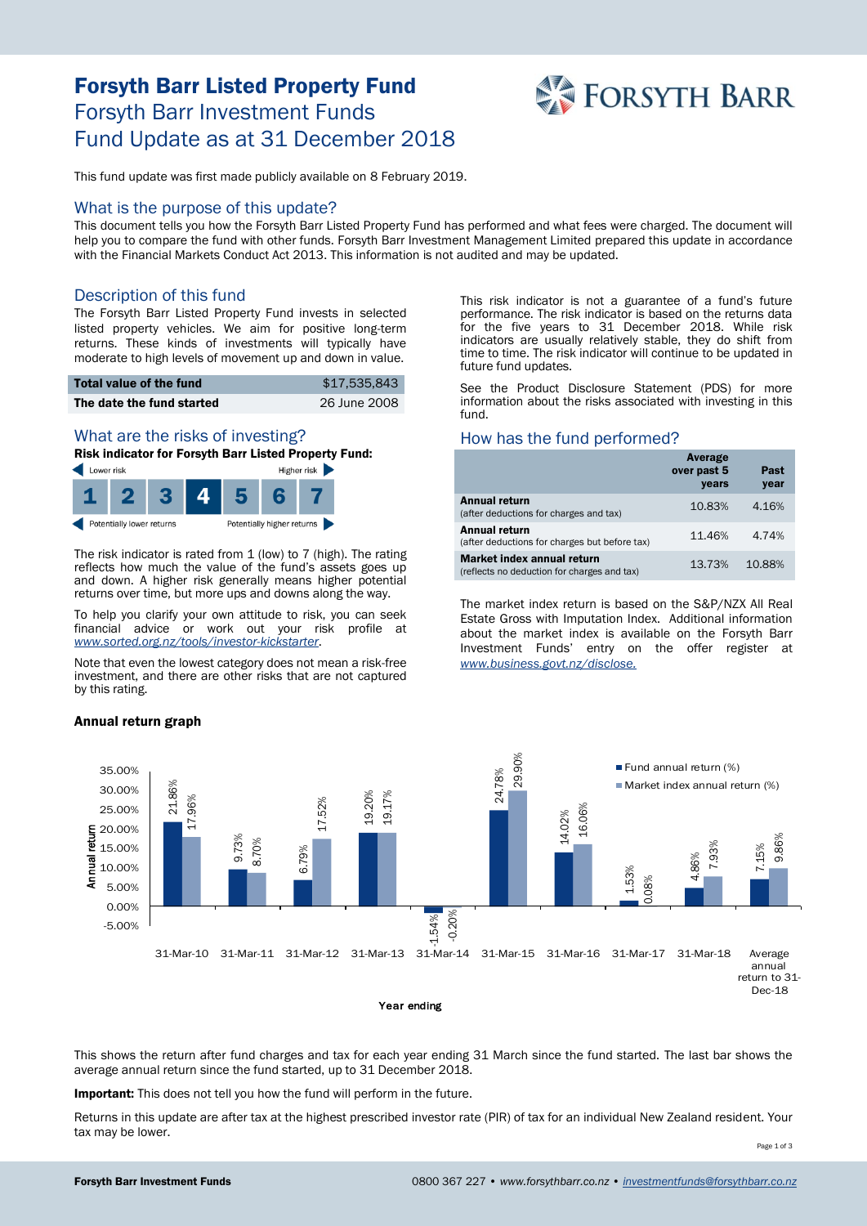# Forsyth Barr Listed Property Fund Forsyth Barr Investment Funds Fund Update as at 31 December 2018



This fund update was first made publicly available on 8 February 2019.

#### What is the purpose of this update?

This document tells you how the Forsyth Barr Listed Property Fund has performed and what fees were charged. The document will help you to compare the fund with other funds. Forsyth Barr Investment Management Limited prepared this update in accordance with the Financial Markets Conduct Act 2013. This information is not audited and may be updated.

#### Description of this fund

The Forsyth Barr Listed Property Fund invests in selected listed property vehicles. We aim for positive long-term returns. These kinds of investments will typically have moderate to high levels of movement up and down in value.

| <b>Total value of the fund</b> | \$17,535,843 |
|--------------------------------|--------------|
| The date the fund started      | 26 June 2008 |

## What are the risks of investing?

Risk indicator for Forsyth Barr Listed Property Fund:



The risk indicator is rated from 1 (low) to 7 (high). The rating reflects how much the value of the fund's assets goes up and down. A higher risk generally means higher potential returns over time, but more ups and downs along the way.

To help you clarify your own attitude to risk, you can seek financial advice or work out your risk profile at *[www.sorted.org.nz/tools/investor-kickstarter](http://www.sorted.org.nz/tools/investor-kickstarter)*.

Note that even the lowest category does not mean a risk-free investment, and there are other risks that are not captured by this rating.

#### Annual return graph

This risk indicator is not a guarantee of a fund's future performance. The risk indicator is based on the returns data for the five years to 31 December 2018. While risk indicators are usually relatively stable, they do shift from time to time. The risk indicator will continue to be updated in future fund updates.

See the Product Disclosure Statement (PDS) for more information about the risks associated with investing in this fund.

### How has the fund performed?

|                                                                           | Average<br>over past 5<br>years | Past<br>year |
|---------------------------------------------------------------------------|---------------------------------|--------------|
| <b>Annual return</b><br>(after deductions for charges and tax)            | 10.83%                          | 4.16%        |
| <b>Annual return</b><br>(after deductions for charges but before tax)     | 11.46%                          | 4.74%        |
| Market index annual return<br>(reflects no deduction for charges and tax) | 13.73%                          | 10.88%       |

The market index return is based on the S&P/NZX All Real Estate Gross with Imputation Index. Additional information about the market index is available on the Forsyth Barr Investment Funds' entry on the offer register at *[www.business.govt.nz/disclose.](http://www.business.govt.nz/disclose)*



This shows the return after fund charges and tax for each year ending 31 March since the fund started. The last bar shows the average annual return since the fund started, up to 31 December 2018.

Important: This does not tell you how the fund will perform in the future.

Returns in this update are after tax at the highest prescribed investor rate (PIR) of tax for an individual New Zealand resident. Your tax may be lower.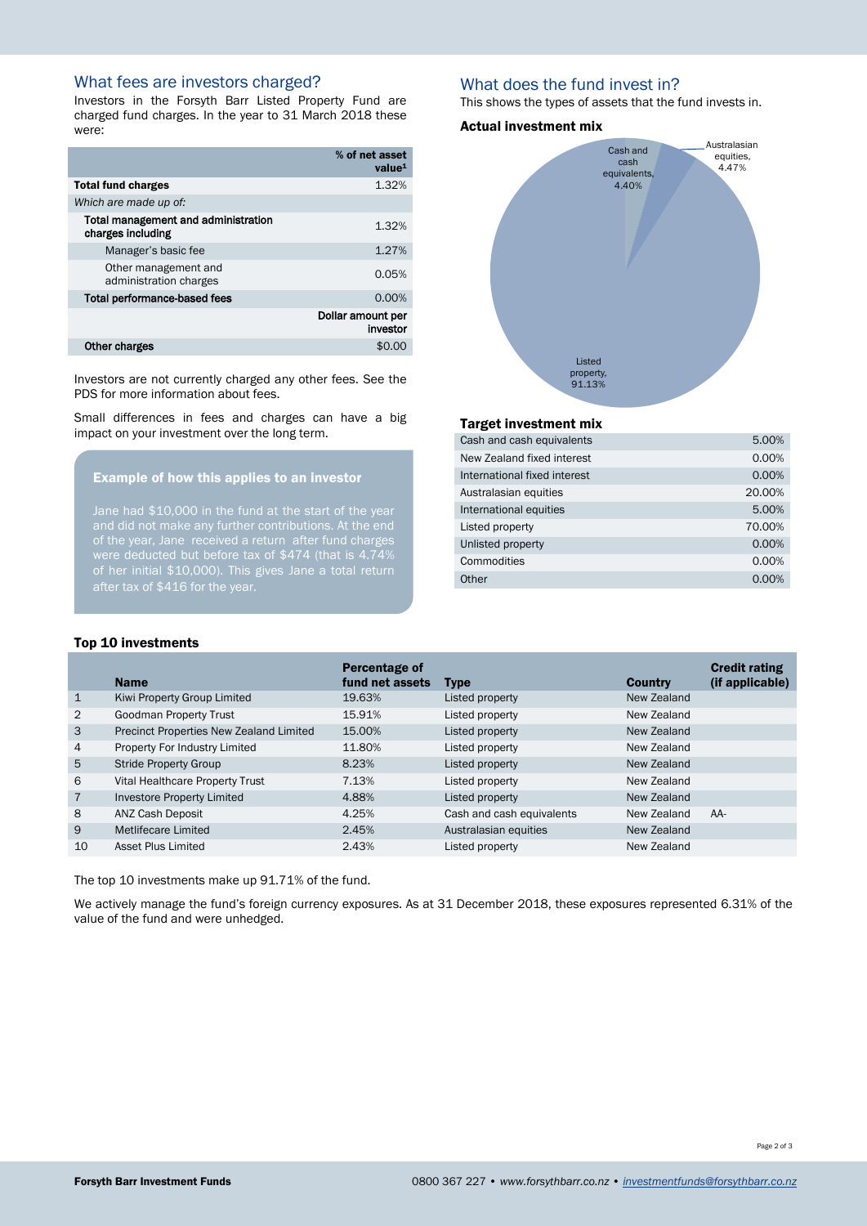# What fees are investors charged?

Investors in the Forsyth Barr Listed Property Fund are charged fund charges. In the year to 31 March 2018 these were:

|                                                          | % of net asset<br>value <sup>1</sup> |
|----------------------------------------------------------|--------------------------------------|
| <b>Total fund charges</b>                                | 1.32%                                |
| Which are made up of:                                    |                                      |
| Total management and administration<br>charges including | 1.32%                                |
| Manager's basic fee                                      | 1.27%                                |
| Other management and<br>administration charges           | 0.05%                                |
| <b>Total performance-based fees</b>                      | 0.00%                                |
|                                                          | Dollar amount per<br>investor        |
| Other charges                                            | \$0.0                                |

Investors are not currently charged any other fees. See the PDS for more information about fees.

Small differences in fees and charges can have a big impact on your investment over the long term.

## Example of how this applies to an investor

Jane had \$10,000 in the fund at the start of the year of the year, Jane received a return after fund charges of her initial \$10,000). This gives Jane a total return after tax of \$416 for the year.

## What does the fund invest in?

This shows the types of assets that the fund invests in.

#### Actual investment mix



#### Target investment mix

| Cash and cash equivalents    | 5.00%  |
|------------------------------|--------|
| New Zealand fixed interest   | 0.00%  |
| International fixed interest | 0.00%  |
| Australasian equities        | 20.00% |
| International equities       | 5.00%  |
| Listed property              | 70.00% |
| Unlisted property            | 0.00%  |
| Commodities                  | 0.00%  |
| Other                        | 0.00%  |

#### Top 10 investments

|                | <b>Name</b>                             | <b>Percentage of</b><br>fund net assets | <b>Type</b>               | <b>Country</b> | <b>Credit rating</b><br>(if applicable) |
|----------------|-----------------------------------------|-----------------------------------------|---------------------------|----------------|-----------------------------------------|
| $\mathbf 1$    | Kiwi Property Group Limited             | 19.63%                                  | Listed property           | New Zealand    |                                         |
| 2              | Goodman Property Trust                  | 15.91%                                  | Listed property           | New Zealand    |                                         |
| 3              | Precinct Properties New Zealand Limited | 15.00%                                  | Listed property           | New Zealand    |                                         |
| $\overline{4}$ | Property For Industry Limited           | 11.80%                                  | Listed property           | New Zealand    |                                         |
| 5              | <b>Stride Property Group</b>            | 8.23%                                   | Listed property           | New Zealand    |                                         |
| 6              | Vital Healthcare Property Trust         | 7.13%                                   | Listed property           | New Zealand    |                                         |
| $\overline{7}$ | Investore Property Limited              | 4.88%                                   | Listed property           | New Zealand    |                                         |
| 8              | ANZ Cash Deposit                        | 4.25%                                   | Cash and cash equivalents | New Zealand    | AA-                                     |
| 9              | Metlifecare Limited                     | 2.45%                                   | Australasian equities     | New Zealand    |                                         |
| 10             | Asset Plus Limited                      | 2.43%                                   | Listed property           | New Zealand    |                                         |

The top 10 investments make up 91.71% of the fund.

We actively manage the fund's foreign currency exposures. As at 31 December 2018, these exposures represented 6.31% of the value of the fund and were unhedged.